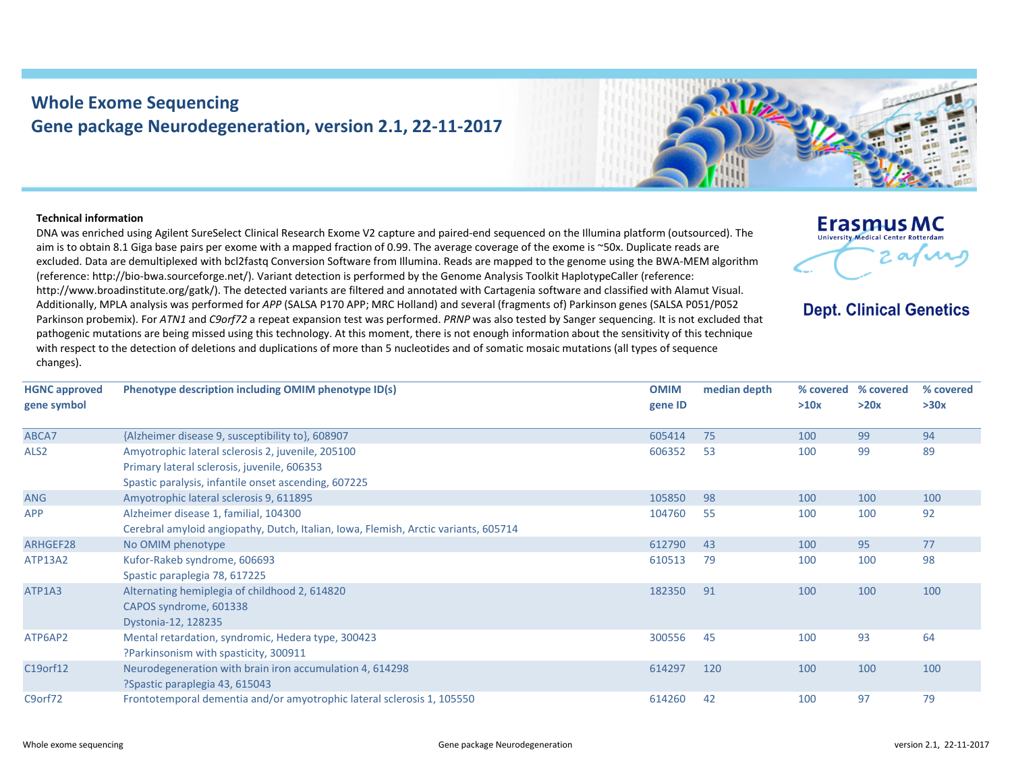## **Whole Exome Sequencing Gene package Neurodegeneration, version 2.1, 22‐11‐2017**



## **Technical information**

DNA was enriched using Agilent SureSelect Clinical Research Exome V2 capture and paired‐end sequenced on the Illumina platform (outsourced). The aim is to obtain 8.1 Giga base pairs per exome with <sup>a</sup> mapped fraction of 0.99. The average coverage of the exome is ~50x. Duplicate reads are excluded. Data are demultiplexed with bcl2fastq Conversion Software from Illumina. Reads are mapped to the genome using the BWA‐MEM algorithm (reference: http://bio‐bwa.sourceforge.net/). Variant detection is performed by the Genome Analysis Toolkit HaplotypeCaller (reference: http://www.broadinstitute.org/gatk/). The detected variants are filtered and annotated with Cartagenia software and classified with Alamut Visual. Additionally, MPLA analysis was performed for *APP* (SALSA P170 APP; MRC Holland) and several (fragments of) Parkinson genes (SALSA P051/P052 Parkinson probemix). For *ATN1* and *C9orf72* <sup>a</sup> repeat expansion test was performed. *PRNP* was also tested by Sanger sequencing. It is not excluded that pathogenic mutations are being missed using this technology. At this moment, there is not enough information about the sensitivity of this technique with respect to the detection of deletions and duplications of more than 5 nucleotides and of somatic mosaic mutations (all types of sequence changes).



**Dept. Clinical Genetics** 

| <b>HGNC approved</b> | Phenotype description including OMIM phenotype ID(s)                                | <b>OMIM</b> | median depth | % covered | % covered | % covered |
|----------------------|-------------------------------------------------------------------------------------|-------------|--------------|-----------|-----------|-----------|
| gene symbol          |                                                                                     | gene ID     |              | >10x      | >20x      | >30x      |
| ABCA7                | {Alzheimer disease 9, susceptibility to}, 608907                                    | 605414      | 75           | 100       | 99        | 94        |
| ALS <sub>2</sub>     | Amyotrophic lateral sclerosis 2, juvenile, 205100                                   | 606352      | 53           | 100       | 99        | 89        |
|                      | Primary lateral sclerosis, juvenile, 606353                                         |             |              |           |           |           |
|                      | Spastic paralysis, infantile onset ascending, 607225                                |             |              |           |           |           |
| <b>ANG</b>           | Amyotrophic lateral sclerosis 9, 611895                                             | 105850      | 98           | 100       | 100       | 100       |
| <b>APP</b>           | Alzheimer disease 1, familial, 104300                                               | 104760      | 55           | 100       | 100       | 92        |
|                      | Cerebral amyloid angiopathy, Dutch, Italian, Iowa, Flemish, Arctic variants, 605714 |             |              |           |           |           |
| ARHGEF28             | No OMIM phenotype                                                                   | 612790      | 43           | 100       | 95        | 77        |
| ATP13A2              | Kufor-Rakeb syndrome, 606693                                                        | 610513      | 79           | 100       | 100       | 98        |
|                      | Spastic paraplegia 78, 617225                                                       |             |              |           |           |           |
| ATP1A3               | Alternating hemiplegia of childhood 2, 614820                                       | 182350      | 91           | 100       | 100       | 100       |
|                      | CAPOS syndrome, 601338                                                              |             |              |           |           |           |
|                      | Dystonia-12, 128235                                                                 |             |              |           |           |           |
| ATP6AP2              | Mental retardation, syndromic, Hedera type, 300423                                  | 300556      | 45           | 100       | 93        | 64        |
|                      | ?Parkinsonism with spasticity, 300911                                               |             |              |           |           |           |
| C19orf12             | Neurodegeneration with brain iron accumulation 4, 614298                            | 614297      | 120          | 100       | 100       | 100       |
|                      | ?Spastic paraplegia 43, 615043                                                      |             |              |           |           |           |
| C9orf72              | Frontotemporal dementia and/or amyotrophic lateral sclerosis 1, 105550              | 614260      | 42           | 100       | 97        | 79        |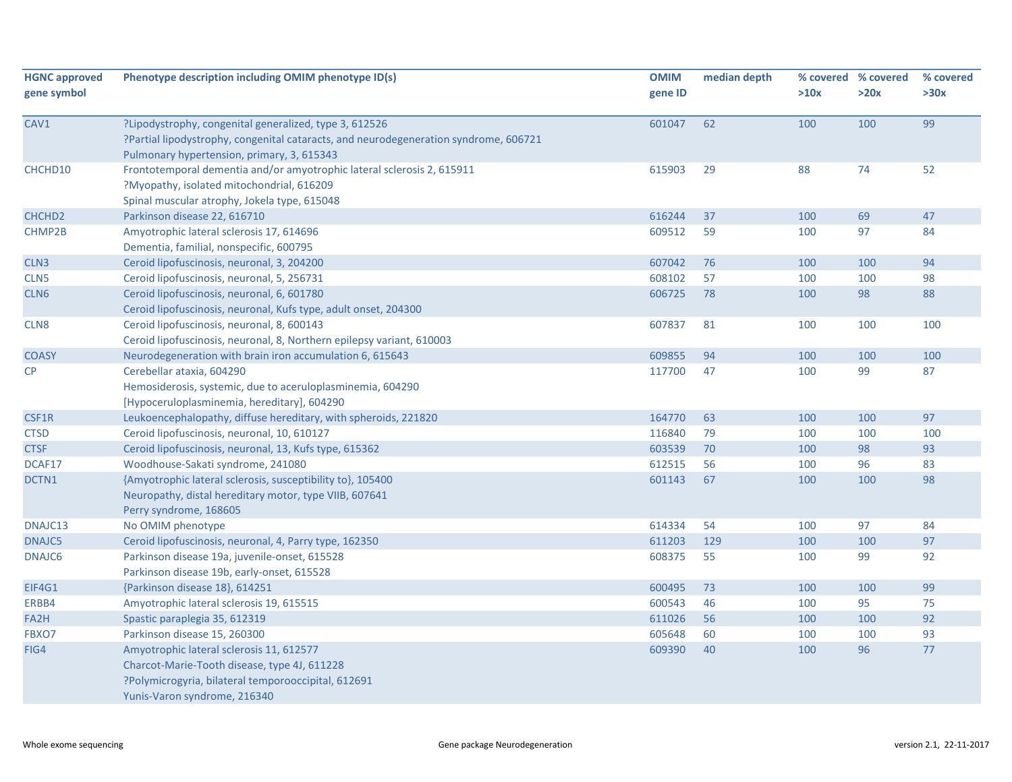| <b>HGNC approved</b> | Phenotype description including OMIM phenotype ID(s)                                 | <b>OMIM</b> | median depth |      | % covered % covered | % covered |
|----------------------|--------------------------------------------------------------------------------------|-------------|--------------|------|---------------------|-----------|
| gene symbol          |                                                                                      | gene ID     |              | >10x | >20x                | >30x      |
| CAV1                 | ?Lipodystrophy, congenital generalized, type 3, 612526                               | 601047      | 62           | 100  | 100                 | 99        |
|                      | ?Partial lipodystrophy, congenital cataracts, and neurodegeneration syndrome, 606721 |             |              |      |                     |           |
|                      | Pulmonary hypertension, primary, 3, 615343                                           |             |              |      |                     |           |
| CHCHD10              | Frontotemporal dementia and/or amyotrophic lateral sclerosis 2, 615911               | 615903      | 29           | 88   | 74                  | 52        |
|                      | ?Myopathy, isolated mitochondrial, 616209                                            |             |              |      |                     |           |
|                      | Spinal muscular atrophy, Jokela type, 615048                                         |             |              |      |                     |           |
| CHCHD <sub>2</sub>   | Parkinson disease 22, 616710                                                         | 616244      | 37           | 100  | 69                  | 47        |
| CHMP2B               | Amyotrophic lateral sclerosis 17, 614696                                             | 609512      | 59           | 100  | 97                  | 84        |
|                      | Dementia, familial, nonspecific, 600795                                              |             |              |      |                     |           |
| CLN <sub>3</sub>     | Ceroid lipofuscinosis, neuronal, 3, 204200                                           | 607042      | 76           | 100  | 100                 | 94        |
| CLN <sub>5</sub>     | Ceroid lipofuscinosis, neuronal, 5, 256731                                           | 608102      | 57           | 100  | 100                 | 98        |
| CLN <sub>6</sub>     | Ceroid lipofuscinosis, neuronal, 6, 601780                                           | 606725      | 78           | 100  | 98                  | 88        |
|                      | Ceroid lipofuscinosis, neuronal, Kufs type, adult onset, 204300                      |             |              |      |                     |           |
| CLN8                 | Ceroid lipofuscinosis, neuronal, 8, 600143                                           | 607837      | 81           | 100  | 100                 | 100       |
|                      | Ceroid lipofuscinosis, neuronal, 8, Northern epilepsy variant, 610003                |             |              |      |                     |           |
| <b>COASY</b>         | Neurodegeneration with brain iron accumulation 6, 615643                             | 609855      | 94           | 100  | 100                 | 100       |
| <b>CP</b>            | Cerebellar ataxia, 604290                                                            | 117700      | 47           | 100  | 99                  | 87        |
|                      | Hemosiderosis, systemic, due to aceruloplasminemia, 604290                           |             |              |      |                     |           |
|                      | [Hypoceruloplasminemia, hereditary], 604290                                          |             |              |      |                     |           |
| CSF1R                | Leukoencephalopathy, diffuse hereditary, with spheroids, 221820                      | 164770      | 63           | 100  | 100                 | 97        |
| <b>CTSD</b>          | Ceroid lipofuscinosis, neuronal, 10, 610127                                          | 116840      | 79           | 100  | 100                 | 100       |
| <b>CTSF</b>          | Ceroid lipofuscinosis, neuronal, 13, Kufs type, 615362                               | 603539      | 70           | 100  | 98                  | 93        |
| DCAF17               | Woodhouse-Sakati syndrome, 241080                                                    | 612515      | 56           | 100  | 96                  | 83        |
| DCTN1                | {Amyotrophic lateral sclerosis, susceptibility to}, 105400                           | 601143      | 67           | 100  | 100                 | 98        |
|                      | Neuropathy, distal hereditary motor, type VIIB, 607641                               |             |              |      |                     |           |
|                      | Perry syndrome, 168605                                                               |             |              |      |                     |           |
| DNAJC13              | No OMIM phenotype                                                                    | 614334      | 54           | 100  | 97                  | 84        |
| DNAJC5               | Ceroid lipofuscinosis, neuronal, 4, Parry type, 162350                               | 611203      | 129          | 100  | 100                 | 97        |
| DNAJC6               | Parkinson disease 19a, juvenile-onset, 615528                                        | 608375      | 55           | 100  | 99                  | 92        |
|                      | Parkinson disease 19b, early-onset, 615528                                           |             |              |      |                     |           |
| EIF4G1               | {Parkinson disease 18}, 614251                                                       | 600495      | 73           | 100  | 100                 | 99        |
| ERBB4                | Amyotrophic lateral sclerosis 19, 615515                                             | 600543      | 46           | 100  | 95                  | 75        |
| FA2H                 | Spastic paraplegia 35, 612319                                                        | 611026      | 56           | 100  | 100                 | 92        |
| FBXO7                | Parkinson disease 15, 260300                                                         | 605648      | 60           | 100  | 100                 | 93        |
| FIG4                 | Amyotrophic lateral sclerosis 11, 612577                                             | 609390      | 40           | 100  | 96                  | 77        |
|                      | Charcot-Marie-Tooth disease, type 4J, 611228                                         |             |              |      |                     |           |
|                      | ?Polymicrogyria, bilateral temporooccipital, 612691                                  |             |              |      |                     |           |
|                      | Yunis-Varon syndrome, 216340                                                         |             |              |      |                     |           |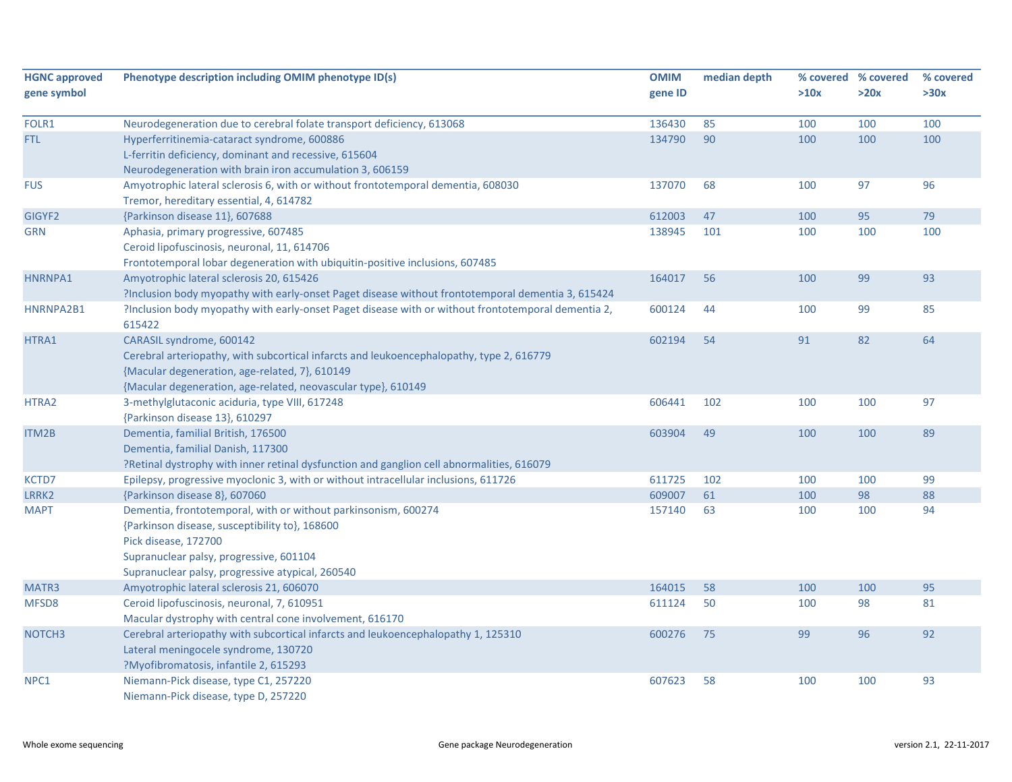| <b>HGNC approved</b> | Phenotype description including OMIM phenotype ID(s)                                                         | <b>OMIM</b> | median depth |      | % covered % covered | % covered |
|----------------------|--------------------------------------------------------------------------------------------------------------|-------------|--------------|------|---------------------|-----------|
| gene symbol          |                                                                                                              | gene ID     |              | >10x | >20x                | >30x      |
| FOLR1                | Neurodegeneration due to cerebral folate transport deficiency, 613068                                        | 136430      | 85           | 100  | 100                 | 100       |
| <b>FTL</b>           | Hyperferritinemia-cataract syndrome, 600886                                                                  | 134790      | 90           | 100  | 100                 | 100       |
|                      | L-ferritin deficiency, dominant and recessive, 615604                                                        |             |              |      |                     |           |
|                      | Neurodegeneration with brain iron accumulation 3, 606159                                                     |             |              |      |                     |           |
| <b>FUS</b>           | Amyotrophic lateral sclerosis 6, with or without frontotemporal dementia, 608030                             | 137070      | 68           | 100  | 97                  | 96        |
|                      | Tremor, hereditary essential, 4, 614782                                                                      |             |              |      |                     |           |
| GIGYF2               | {Parkinson disease 11}, 607688                                                                               | 612003      | 47           | 100  | 95                  | 79        |
| <b>GRN</b>           | Aphasia, primary progressive, 607485                                                                         | 138945      | 101          | 100  | 100                 | 100       |
|                      | Ceroid lipofuscinosis, neuronal, 11, 614706                                                                  |             |              |      |                     |           |
|                      | Frontotemporal lobar degeneration with ubiquitin-positive inclusions, 607485                                 |             |              |      |                     |           |
| HNRNPA1              | Amyotrophic lateral sclerosis 20, 615426                                                                     | 164017      | 56           | 100  | 99                  | 93        |
|                      | ?Inclusion body myopathy with early-onset Paget disease without frontotemporal dementia 3, 615424            |             |              |      |                     |           |
| HNRNPA2B1            | ?Inclusion body myopathy with early-onset Paget disease with or without frontotemporal dementia 2,<br>615422 | 600124      | 44           | 100  | 99                  | 85        |
| HTRA1                | CARASIL syndrome, 600142                                                                                     | 602194      | 54           | 91   | 82                  | 64        |
|                      | Cerebral arteriopathy, with subcortical infarcts and leukoencephalopathy, type 2, 616779                     |             |              |      |                     |           |
|                      | {Macular degeneration, age-related, 7}, 610149                                                               |             |              |      |                     |           |
|                      | {Macular degeneration, age-related, neovascular type}, 610149                                                |             |              |      |                     |           |
| HTRA2                | 3-methylglutaconic aciduria, type VIII, 617248                                                               | 606441      | 102          | 100  | 100                 | 97        |
|                      | {Parkinson disease 13}, 610297                                                                               |             |              |      |                     |           |
| ITM2B                | Dementia, familial British, 176500                                                                           | 603904      | 49           | 100  | 100                 | 89        |
|                      | Dementia, familial Danish, 117300                                                                            |             |              |      |                     |           |
|                      | ?Retinal dystrophy with inner retinal dysfunction and ganglion cell abnormalities, 616079                    |             |              |      |                     |           |
| KCTD7                | Epilepsy, progressive myoclonic 3, with or without intracellular inclusions, 611726                          | 611725      | 102          | 100  | 100                 | 99        |
| LRRK2                | {Parkinson disease 8}, 607060                                                                                | 609007      | 61           | 100  | 98                  | 88        |
| <b>MAPT</b>          | Dementia, frontotemporal, with or without parkinsonism, 600274                                               | 157140      | 63           | 100  | 100                 | 94        |
|                      | {Parkinson disease, susceptibility to}, 168600                                                               |             |              |      |                     |           |
|                      | Pick disease, 172700                                                                                         |             |              |      |                     |           |
|                      | Supranuclear palsy, progressive, 601104                                                                      |             |              |      |                     |           |
|                      | Supranuclear palsy, progressive atypical, 260540                                                             |             |              |      |                     |           |
| MATR3                | Amyotrophic lateral sclerosis 21, 606070                                                                     | 164015      | 58           | 100  | 100                 | 95        |
| MFSD8                | Ceroid lipofuscinosis, neuronal, 7, 610951                                                                   | 611124      | 50           | 100  | 98                  | 81        |
|                      | Macular dystrophy with central cone involvement, 616170                                                      |             |              |      |                     |           |
| NOTCH <sub>3</sub>   | Cerebral arteriopathy with subcortical infarcts and leukoencephalopathy 1, 125310                            | 600276      | 75           | 99   | 96                  | 92        |
|                      | Lateral meningocele syndrome, 130720                                                                         |             |              |      |                     |           |
|                      | ?Myofibromatosis, infantile 2, 615293                                                                        |             |              |      |                     |           |
| NPC1                 | Niemann-Pick disease, type C1, 257220                                                                        | 607623      | 58           | 100  | 100                 | 93        |
|                      | Niemann-Pick disease, type D, 257220                                                                         |             |              |      |                     |           |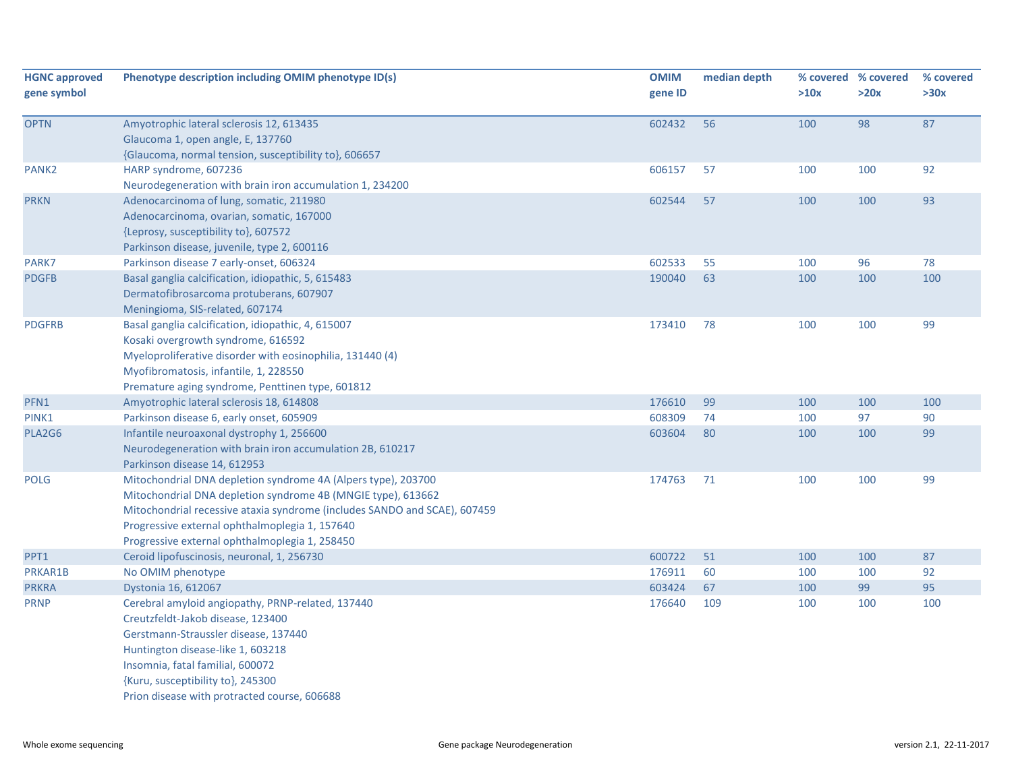| <b>HGNC approved</b><br>gene symbol | Phenotype description including OMIM phenotype ID(s)                      | <b>OMIM</b><br>gene ID | median depth | >10x | % covered % covered<br>>20x | % covered<br>>30x |
|-------------------------------------|---------------------------------------------------------------------------|------------------------|--------------|------|-----------------------------|-------------------|
|                                     |                                                                           |                        |              |      |                             |                   |
| <b>OPTN</b>                         | Amyotrophic lateral sclerosis 12, 613435                                  | 602432                 | 56           | 100  | 98                          | 87                |
|                                     | Glaucoma 1, open angle, E, 137760                                         |                        |              |      |                             |                   |
|                                     | {Glaucoma, normal tension, susceptibility to}, 606657                     |                        |              |      |                             |                   |
| PANK <sub>2</sub>                   | HARP syndrome, 607236                                                     | 606157                 | 57           | 100  | 100                         | 92                |
|                                     | Neurodegeneration with brain iron accumulation 1, 234200                  |                        |              |      |                             |                   |
| <b>PRKN</b>                         | Adenocarcinoma of lung, somatic, 211980                                   | 602544                 | 57           | 100  | 100                         | 93                |
|                                     | Adenocarcinoma, ovarian, somatic, 167000                                  |                        |              |      |                             |                   |
|                                     | {Leprosy, susceptibility to}, 607572                                      |                        |              |      |                             |                   |
|                                     | Parkinson disease, juvenile, type 2, 600116                               |                        |              |      |                             |                   |
| PARK7                               | Parkinson disease 7 early-onset, 606324                                   | 602533                 | 55           | 100  | 96                          | 78                |
| <b>PDGFB</b>                        | Basal ganglia calcification, idiopathic, 5, 615483                        | 190040                 | 63           | 100  | 100                         | 100               |
|                                     | Dermatofibrosarcoma protuberans, 607907                                   |                        |              |      |                             |                   |
|                                     | Meningioma, SIS-related, 607174                                           |                        |              |      |                             |                   |
| <b>PDGFRB</b>                       | Basal ganglia calcification, idiopathic, 4, 615007                        | 173410                 | 78           | 100  | 100                         | 99                |
|                                     | Kosaki overgrowth syndrome, 616592                                        |                        |              |      |                             |                   |
|                                     | Myeloproliferative disorder with eosinophilia, 131440 (4)                 |                        |              |      |                             |                   |
|                                     | Myofibromatosis, infantile, 1, 228550                                     |                        |              |      |                             |                   |
|                                     | Premature aging syndrome, Penttinen type, 601812                          |                        |              |      |                             |                   |
| PFN1                                | Amyotrophic lateral sclerosis 18, 614808                                  | 176610                 | 99           | 100  | 100                         | 100               |
| PINK1                               | Parkinson disease 6, early onset, 605909                                  | 608309                 | 74           | 100  | 97                          | 90                |
| PLA2G6                              | Infantile neuroaxonal dystrophy 1, 256600                                 | 603604                 | 80           | 100  | 100                         | 99                |
|                                     | Neurodegeneration with brain iron accumulation 2B, 610217                 |                        |              |      |                             |                   |
|                                     | Parkinson disease 14, 612953                                              |                        |              |      |                             |                   |
| <b>POLG</b>                         | Mitochondrial DNA depletion syndrome 4A (Alpers type), 203700             | 174763                 | 71           | 100  | 100                         | 99                |
|                                     | Mitochondrial DNA depletion syndrome 4B (MNGIE type), 613662              |                        |              |      |                             |                   |
|                                     | Mitochondrial recessive ataxia syndrome (includes SANDO and SCAE), 607459 |                        |              |      |                             |                   |
|                                     | Progressive external ophthalmoplegia 1, 157640                            |                        |              |      |                             |                   |
|                                     | Progressive external ophthalmoplegia 1, 258450                            |                        |              |      |                             |                   |
| PPT1                                | Ceroid lipofuscinosis, neuronal, 1, 256730                                | 600722                 | 51           | 100  | 100                         | 87                |
| PRKAR1B                             | No OMIM phenotype                                                         | 176911                 | 60           | 100  | 100                         | 92                |
| <b>PRKRA</b>                        | Dystonia 16, 612067                                                       | 603424                 | 67           | 100  | 99                          | 95                |
| <b>PRNP</b>                         | Cerebral amyloid angiopathy, PRNP-related, 137440                         | 176640                 | 109          | 100  | 100                         | 100               |
|                                     | Creutzfeldt-Jakob disease, 123400                                         |                        |              |      |                             |                   |
|                                     | Gerstmann-Straussler disease, 137440                                      |                        |              |      |                             |                   |
|                                     | Huntington disease-like 1, 603218                                         |                        |              |      |                             |                   |
|                                     | Insomnia, fatal familial, 600072                                          |                        |              |      |                             |                   |
|                                     | {Kuru, susceptibility to}, 245300                                         |                        |              |      |                             |                   |
|                                     | Prion disease with protracted course, 606688                              |                        |              |      |                             |                   |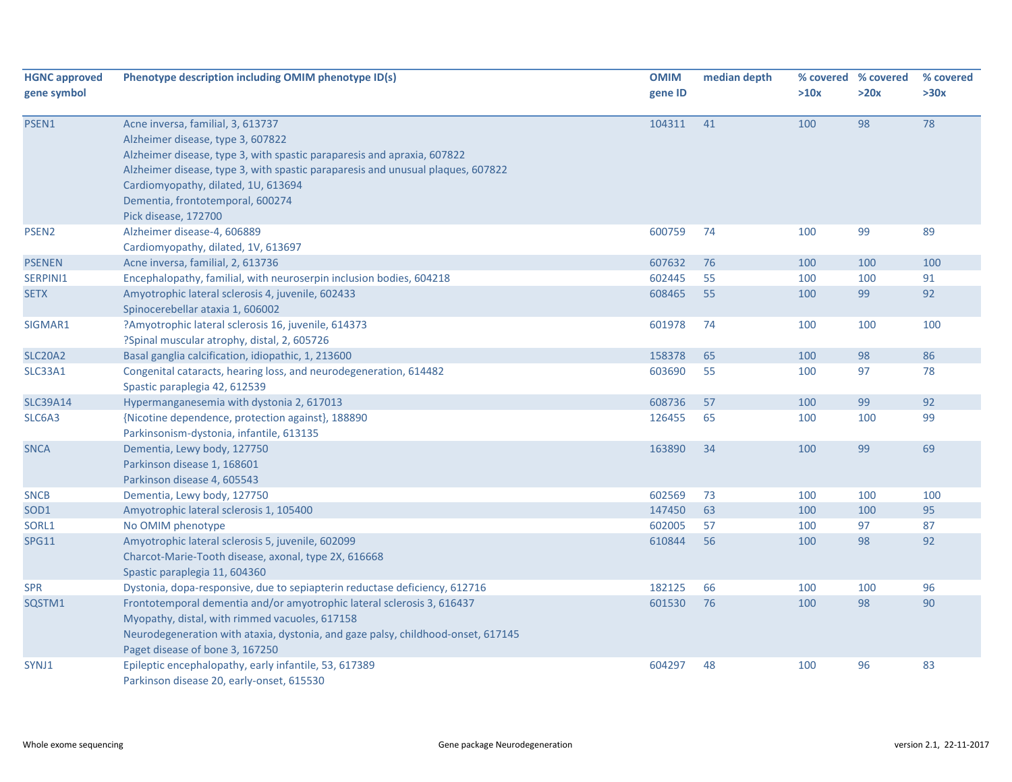| <b>HGNC approved</b> | Phenotype description including OMIM phenotype ID(s)                             | <b>OMIM</b> | median depth |      | % covered % covered | % covered |
|----------------------|----------------------------------------------------------------------------------|-------------|--------------|------|---------------------|-----------|
| gene symbol          |                                                                                  | gene ID     |              | >10x | >20x                | >30x      |
| PSEN1                | Acne inversa, familial, 3, 613737                                                | 104311      | 41           | 100  | 98                  | 78        |
|                      | Alzheimer disease, type 3, 607822                                                |             |              |      |                     |           |
|                      | Alzheimer disease, type 3, with spastic paraparesis and apraxia, 607822          |             |              |      |                     |           |
|                      | Alzheimer disease, type 3, with spastic paraparesis and unusual plaques, 607822  |             |              |      |                     |           |
|                      | Cardiomyopathy, dilated, 1U, 613694                                              |             |              |      |                     |           |
|                      | Dementia, frontotemporal, 600274                                                 |             |              |      |                     |           |
|                      | Pick disease, 172700                                                             |             |              |      |                     |           |
| PSEN <sub>2</sub>    | Alzheimer disease-4, 606889                                                      | 600759      | 74           | 100  | 99                  | 89        |
|                      | Cardiomyopathy, dilated, 1V, 613697                                              |             |              |      |                     |           |
| <b>PSENEN</b>        | Acne inversa, familial, 2, 613736                                                | 607632      | 76           | 100  | 100                 | 100       |
| SERPINI1             | Encephalopathy, familial, with neuroserpin inclusion bodies, 604218              | 602445      | 55           | 100  | 100                 | 91        |
| <b>SETX</b>          | Amyotrophic lateral sclerosis 4, juvenile, 602433                                | 608465      | 55           | 100  | 99                  | 92        |
|                      | Spinocerebellar ataxia 1, 606002                                                 |             |              |      |                     |           |
| SIGMAR1              | ?Amyotrophic lateral sclerosis 16, juvenile, 614373                              | 601978      | 74           | 100  | 100                 | 100       |
|                      | ?Spinal muscular atrophy, distal, 2, 605726                                      |             |              |      |                     |           |
| <b>SLC20A2</b>       | Basal ganglia calcification, idiopathic, 1, 213600                               | 158378      | 65           | 100  | 98                  | 86        |
| SLC33A1              | Congenital cataracts, hearing loss, and neurodegeneration, 614482                | 603690      | 55           | 100  | 97                  | 78        |
|                      | Spastic paraplegia 42, 612539                                                    |             |              |      |                     |           |
| <b>SLC39A14</b>      | Hypermanganesemia with dystonia 2, 617013                                        | 608736      | 57           | 100  | 99                  | 92        |
| SLC6A3               | {Nicotine dependence, protection against}, 188890                                | 126455      | 65           | 100  | 100                 | 99        |
|                      | Parkinsonism-dystonia, infantile, 613135                                         |             |              |      |                     |           |
| <b>SNCA</b>          | Dementia, Lewy body, 127750                                                      | 163890      | 34           | 100  | 99                  | 69        |
|                      | Parkinson disease 1, 168601                                                      |             |              |      |                     |           |
|                      | Parkinson disease 4, 605543                                                      |             |              |      |                     |           |
| <b>SNCB</b>          | Dementia, Lewy body, 127750                                                      | 602569      | 73           | 100  | 100                 | 100       |
| SOD1                 | Amyotrophic lateral sclerosis 1, 105400                                          | 147450      | 63           | 100  | 100                 | 95        |
| SORL1                | No OMIM phenotype                                                                | 602005      | 57           | 100  | 97                  | 87        |
| <b>SPG11</b>         | Amyotrophic lateral sclerosis 5, juvenile, 602099                                | 610844      | 56           | 100  | 98                  | 92        |
|                      | Charcot-Marie-Tooth disease, axonal, type 2X, 616668                             |             |              |      |                     |           |
|                      | Spastic paraplegia 11, 604360                                                    |             |              |      |                     |           |
| <b>SPR</b>           | Dystonia, dopa-responsive, due to sepiapterin reductase deficiency, 612716       | 182125      | 66           | 100  | 100                 | 96        |
| SQSTM1               | Frontotemporal dementia and/or amyotrophic lateral sclerosis 3, 616437           | 601530      | 76           | 100  | 98                  | 90        |
|                      | Myopathy, distal, with rimmed vacuoles, 617158                                   |             |              |      |                     |           |
|                      | Neurodegeneration with ataxia, dystonia, and gaze palsy, childhood-onset, 617145 |             |              |      |                     |           |
|                      | Paget disease of bone 3, 167250                                                  |             |              |      |                     |           |
| SYNJ1                | Epileptic encephalopathy, early infantile, 53, 617389                            | 604297      | 48           | 100  | 96                  | 83        |
|                      | Parkinson disease 20, early-onset, 615530                                        |             |              |      |                     |           |